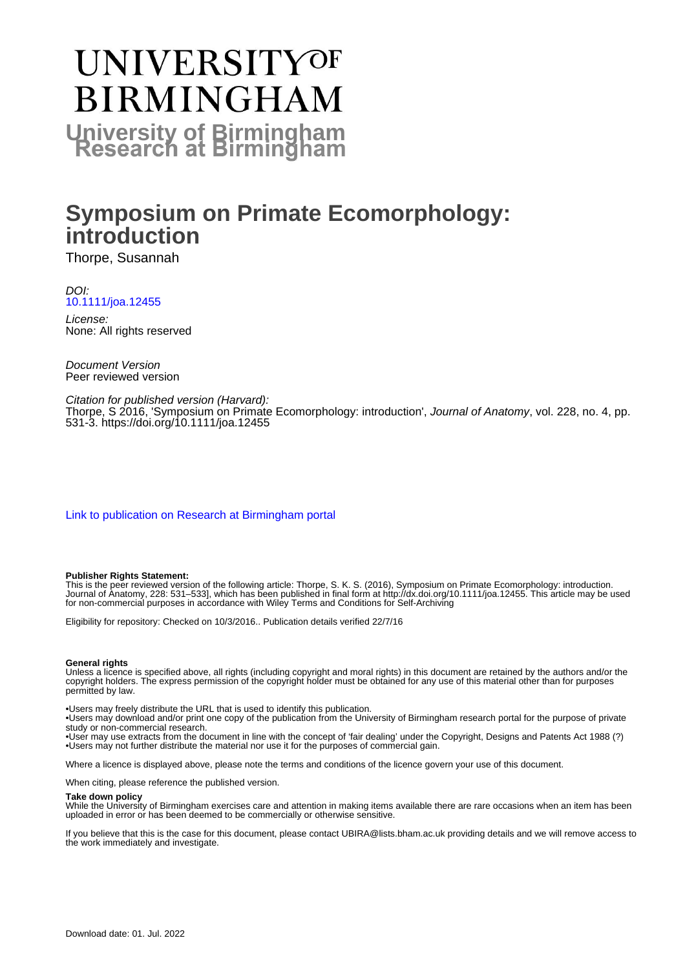# **UNIVERSITYOF BIRMINGHAM University of Birmingham**

# **Symposium on Primate Ecomorphology: introduction**

Thorpe, Susannah

DOI: [10.1111/joa.12455](https://doi.org/10.1111/joa.12455)

License: None: All rights reserved

Document Version Peer reviewed version

Citation for published version (Harvard): Thorpe, S 2016, 'Symposium on Primate Ecomorphology: introduction', Journal of Anatomy, vol. 228, no. 4, pp. 531-3.<https://doi.org/10.1111/joa.12455>

[Link to publication on Research at Birmingham portal](https://birmingham.elsevierpure.com/en/publications/4e183ca5-eadd-4df9-9856-dc8001401554)

#### **Publisher Rights Statement:**

This is the peer reviewed version of the following article: Thorpe, S. K. S. (2016), Symposium on Primate Ecomorphology: introduction. Journal of Anatomy, 228: 531–533], which has been published in final form at http://dx.doi.org/10.1111/joa.12455. This article may be used for non-commercial purposes in accordance with Wiley Terms and Conditions for Self-Archiving

Eligibility for repository: Checked on 10/3/2016.. Publication details verified 22/7/16

#### **General rights**

Unless a licence is specified above, all rights (including copyright and moral rights) in this document are retained by the authors and/or the copyright holders. The express permission of the copyright holder must be obtained for any use of this material other than for purposes permitted by law.

• Users may freely distribute the URL that is used to identify this publication.

• Users may download and/or print one copy of the publication from the University of Birmingham research portal for the purpose of private study or non-commercial research.

• User may use extracts from the document in line with the concept of 'fair dealing' under the Copyright, Designs and Patents Act 1988 (?) • Users may not further distribute the material nor use it for the purposes of commercial gain.

Where a licence is displayed above, please note the terms and conditions of the licence govern your use of this document.

When citing, please reference the published version.

#### **Take down policy**

While the University of Birmingham exercises care and attention in making items available there are rare occasions when an item has been uploaded in error or has been deemed to be commercially or otherwise sensitive.

If you believe that this is the case for this document, please contact UBIRA@lists.bham.ac.uk providing details and we will remove access to the work immediately and investigate.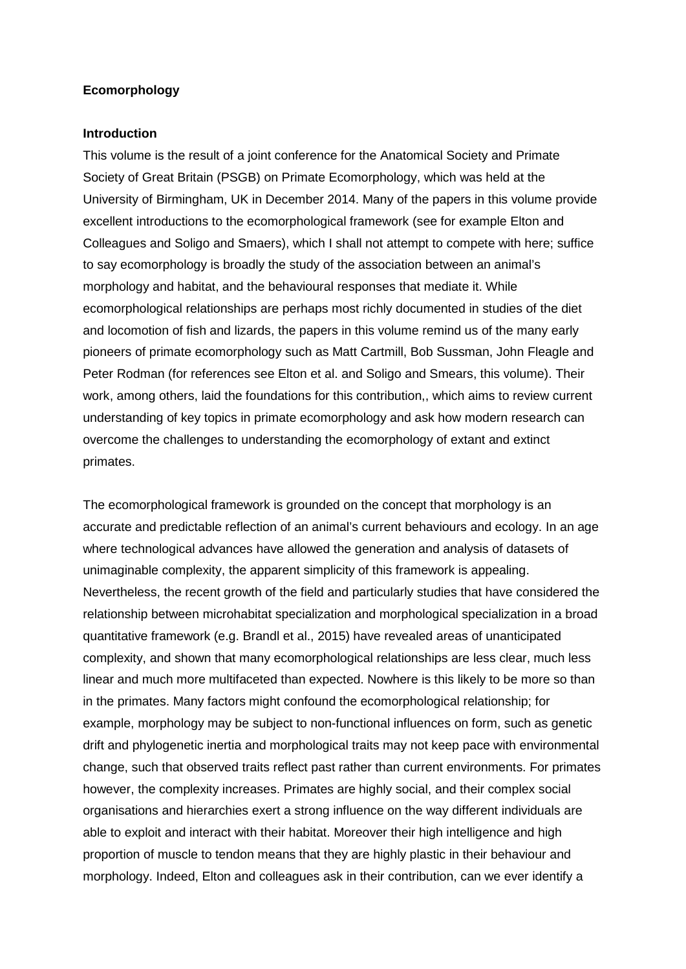# **Ecomorphology**

### **Introduction**

This volume is the result of a joint conference for the Anatomical Society and Primate Society of Great Britain (PSGB) on Primate Ecomorphology, which was held at the University of Birmingham, UK in December 2014. Many of the papers in this volume provide excellent introductions to the ecomorphological framework (see for example Elton and Colleagues and Soligo and Smaers), which I shall not attempt to compete with here; suffice to say ecomorphology is broadly the study of the association between an animal's morphology and habitat, and the behavioural responses that mediate it. While ecomorphological relationships are perhaps most richly documented in studies of the diet and locomotion of fish and lizards, the papers in this volume remind us of the many early pioneers of primate ecomorphology such as Matt Cartmill, Bob Sussman, John Fleagle and Peter Rodman (for references see Elton et al. and Soligo and Smears, this volume). Their work, among others, laid the foundations for this contribution,, which aims to review current understanding of key topics in primate ecomorphology and ask how modern research can overcome the challenges to understanding the ecomorphology of extant and extinct primates.

The ecomorphological framework is grounded on the concept that morphology is an accurate and predictable reflection of an animal's current behaviours and ecology. In an age where technological advances have allowed the generation and analysis of datasets of unimaginable complexity, the apparent simplicity of this framework is appealing. Nevertheless, the recent growth of the field and particularly studies that have considered the relationship between microhabitat specialization and morphological specialization in a broad quantitative framework (e.g. Brandl et al., 2015) have revealed areas of unanticipated complexity, and shown that many ecomorphological relationships are less clear, much less linear and much more multifaceted than expected. Nowhere is this likely to be more so than in the primates. Many factors might confound the ecomorphological relationship; for example, morphology may be subject to non-functional influences on form, such as genetic drift and phylogenetic inertia and morphological traits may not keep pace with environmental change, such that observed traits reflect past rather than current environments. For primates however, the complexity increases. Primates are highly social, and their complex social organisations and hierarchies exert a strong influence on the way different individuals are able to exploit and interact with their habitat. Moreover their high intelligence and high proportion of muscle to tendon means that they are highly plastic in their behaviour and morphology. Indeed, Elton and colleagues ask in their contribution, can we ever identify a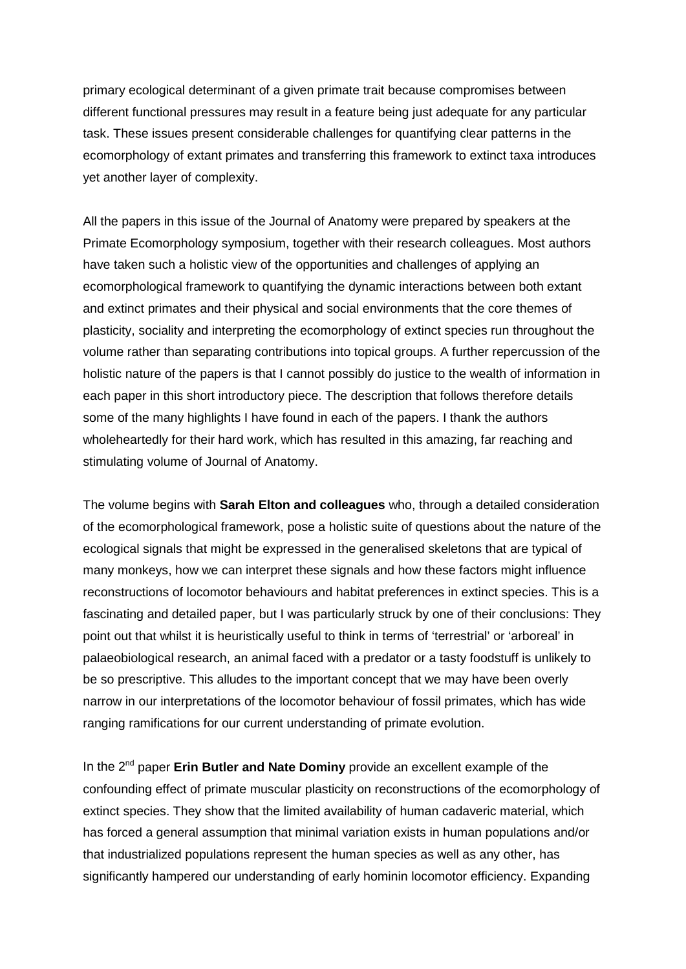primary ecological determinant of a given primate trait because compromises between different functional pressures may result in a feature being just adequate for any particular task. These issues present considerable challenges for quantifying clear patterns in the ecomorphology of extant primates and transferring this framework to extinct taxa introduces yet another layer of complexity.

All the papers in this issue of the Journal of Anatomy were prepared by speakers at the Primate Ecomorphology symposium, together with their research colleagues. Most authors have taken such a holistic view of the opportunities and challenges of applying an ecomorphological framework to quantifying the dynamic interactions between both extant and extinct primates and their physical and social environments that the core themes of plasticity, sociality and interpreting the ecomorphology of extinct species run throughout the volume rather than separating contributions into topical groups. A further repercussion of the holistic nature of the papers is that I cannot possibly do justice to the wealth of information in each paper in this short introductory piece. The description that follows therefore details some of the many highlights I have found in each of the papers. I thank the authors wholeheartedly for their hard work, which has resulted in this amazing, far reaching and stimulating volume of Journal of Anatomy.

The volume begins with **Sarah Elton and colleagues** who, through a detailed consideration of the ecomorphological framework, pose a holistic suite of questions about the nature of the ecological signals that might be expressed in the generalised skeletons that are typical of many monkeys, how we can interpret these signals and how these factors might influence reconstructions of locomotor behaviours and habitat preferences in extinct species. This is a fascinating and detailed paper, but I was particularly struck by one of their conclusions: They point out that whilst it is heuristically useful to think in terms of 'terrestrial' or 'arboreal' in palaeobiological research, an animal faced with a predator or a tasty foodstuff is unlikely to be so prescriptive. This alludes to the important concept that we may have been overly narrow in our interpretations of the locomotor behaviour of fossil primates, which has wide ranging ramifications for our current understanding of primate evolution.

In the 2<sup>nd</sup> paper **Erin Butler and Nate Dominy** provide an excellent example of the confounding effect of primate muscular plasticity on reconstructions of the ecomorphology of extinct species. They show that the limited availability of human cadaveric material, which has forced a general assumption that minimal variation exists in human populations and/or that industrialized populations represent the human species as well as any other, has significantly hampered our understanding of early hominin locomotor efficiency. Expanding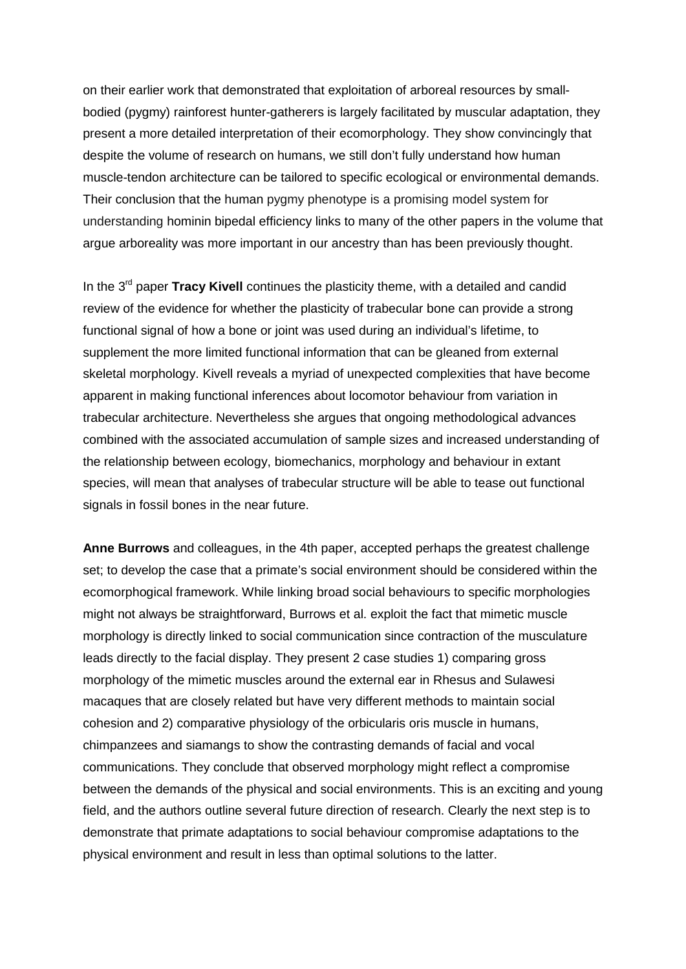on their earlier work that demonstrated that exploitation of arboreal resources by smallbodied (pygmy) rainforest hunter-gatherers is largely facilitated by muscular adaptation, they present a more detailed interpretation of their ecomorphology. They show convincingly that despite the volume of research on humans, we still don't fully understand how human muscle-tendon architecture can be tailored to specific ecological or environmental demands. Their conclusion that the human pygmy phenotype is a promising model system for understanding hominin bipedal efficiency links to many of the other papers in the volume that argue arboreality was more important in our ancestry than has been previously thought.

In the 3<sup>rd</sup> paper **Tracy Kivell** continues the plasticity theme, with a detailed and candid review of the evidence for whether the plasticity of trabecular bone can provide a strong functional signal of how a bone or joint was used during an individual's lifetime, to supplement the more limited functional information that can be gleaned from external skeletal morphology. Kivell reveals a myriad of unexpected complexities that have become apparent in making functional inferences about locomotor behaviour from variation in trabecular architecture. Nevertheless she argues that ongoing methodological advances combined with the associated accumulation of sample sizes and increased understanding of the relationship between ecology, biomechanics, morphology and behaviour in extant species, will mean that analyses of trabecular structure will be able to tease out functional signals in fossil bones in the near future.

**Anne Burrows** and colleagues, in the 4th paper, accepted perhaps the greatest challenge set; to develop the case that a primate's social environment should be considered within the ecomorphogical framework. While linking broad social behaviours to specific morphologies might not always be straightforward, Burrows et al. exploit the fact that mimetic muscle morphology is directly linked to social communication since contraction of the musculature leads directly to the facial display. They present 2 case studies 1) comparing gross morphology of the mimetic muscles around the external ear in Rhesus and Sulawesi macaques that are closely related but have very different methods to maintain social cohesion and 2) comparative physiology of the orbicularis oris muscle in humans, chimpanzees and siamangs to show the contrasting demands of facial and vocal communications. They conclude that observed morphology might reflect a compromise between the demands of the physical and social environments. This is an exciting and young field, and the authors outline several future direction of research. Clearly the next step is to demonstrate that primate adaptations to social behaviour compromise adaptations to the physical environment and result in less than optimal solutions to the latter.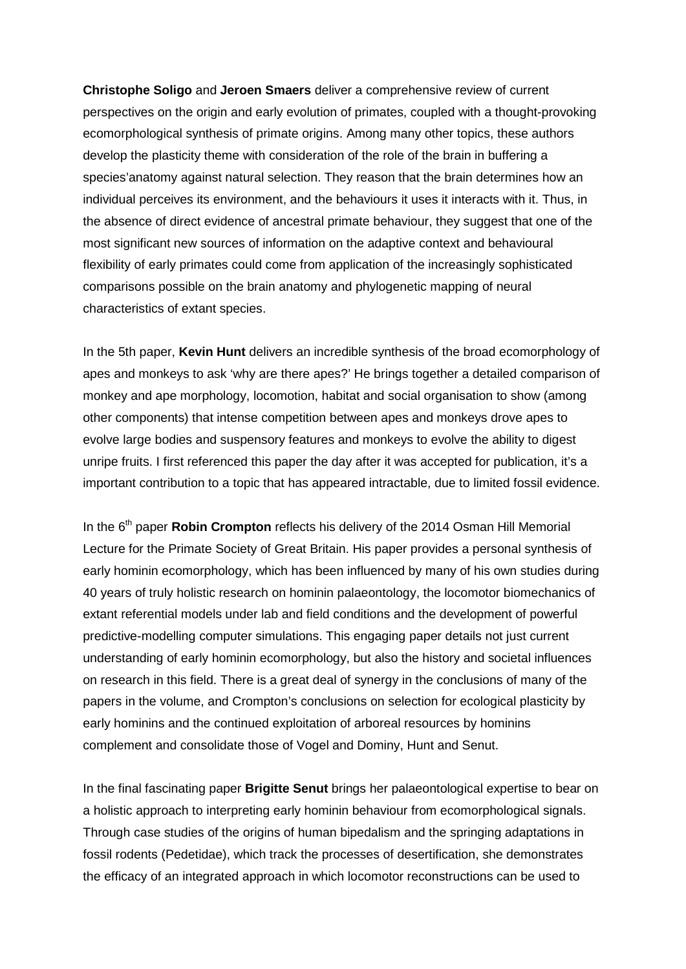**Christophe Soligo** and **Jeroen Smaers** deliver a comprehensive review of current perspectives on the origin and early evolution of primates, coupled with a thought-provoking ecomorphological synthesis of primate origins. Among many other topics, these authors develop the plasticity theme with consideration of the role of the brain in buffering a species'anatomy against natural selection. They reason that the brain determines how an individual perceives its environment, and the behaviours it uses it interacts with it. Thus, in the absence of direct evidence of ancestral primate behaviour, they suggest that one of the most significant new sources of information on the adaptive context and behavioural flexibility of early primates could come from application of the increasingly sophisticated comparisons possible on the brain anatomy and phylogenetic mapping of neural characteristics of extant species.

In the 5th paper, **Kevin Hunt** delivers an incredible synthesis of the broad ecomorphology of apes and monkeys to ask 'why are there apes?' He brings together a detailed comparison of monkey and ape morphology, locomotion, habitat and social organisation to show (among other components) that intense competition between apes and monkeys drove apes to evolve large bodies and suspensory features and monkeys to evolve the ability to digest unripe fruits. I first referenced this paper the day after it was accepted for publication, it's a important contribution to a topic that has appeared intractable, due to limited fossil evidence.

In the 6<sup>th</sup> paper **Robin Crompton** reflects his delivery of the 2014 Osman Hill Memorial Lecture for the Primate Society of Great Britain. His paper provides a personal synthesis of early hominin ecomorphology, which has been influenced by many of his own studies during 40 years of truly holistic research on hominin palaeontology, the locomotor biomechanics of extant referential models under lab and field conditions and the development of powerful predictive-modelling computer simulations. This engaging paper details not just current understanding of early hominin ecomorphology, but also the history and societal influences on research in this field. There is a great deal of synergy in the conclusions of many of the papers in the volume, and Crompton's conclusions on selection for ecological plasticity by early hominins and the continued exploitation of arboreal resources by hominins complement and consolidate those of Vogel and Dominy, Hunt and Senut.

In the final fascinating paper **Brigitte Senut** brings her palaeontological expertise to bear on a holistic approach to interpreting early hominin behaviour from ecomorphological signals. Through case studies of the origins of human bipedalism and the springing adaptations in fossil rodents (Pedetidae), which track the processes of desertification, she demonstrates the efficacy of an integrated approach in which locomotor reconstructions can be used to